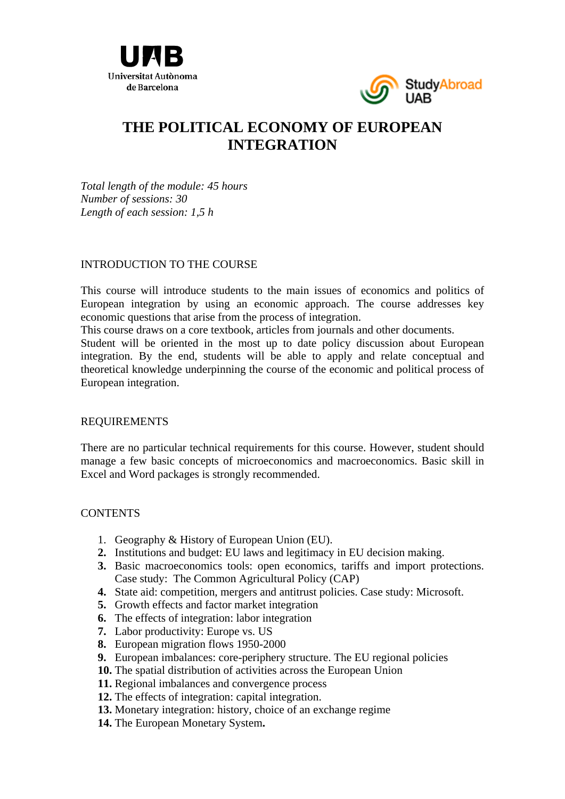



# **THE POLITICAL ECONOMY OF EUROPEAN INTEGRATION**

*Total length of the module: 45 hours Number of sessions: 30 Length of each session: 1,5 h* 

### INTRODUCTION TO THE COURSE

This course will introduce students to the main issues of economics and politics of European integration by using an economic approach. The course addresses key economic questions that arise from the process of integration.

This course draws on a core textbook, articles from journals and other documents.

Student will be oriented in the most up to date policy discussion about European integration. By the end, students will be able to apply and relate conceptual and theoretical knowledge underpinning the course of the economic and political process of European integration.

### REQUIREMENTS

There are no particular technical requirements for this course. However, student should manage a few basic concepts of microeconomics and macroeconomics. Basic skill in Excel and Word packages is strongly recommended.

### **CONTENTS**

- 1. Geography & History of European Union (EU).
- **2.** Institutions and budget: EU laws and legitimacy in EU decision making.
- **3.** Basic macroeconomics tools: open economics, tariffs and import protections. Case study: The Common Agricultural Policy (CAP)
- **4.** State aid: competition, mergers and antitrust policies. Case study: Microsoft.
- **5.** Growth effects and factor market integration
- **6.** The effects of integration: labor integration
- **7.** Labor productivity: Europe vs. US
- **8.** European migration flows 1950-2000
- **9.** European imbalances: core-periphery structure. The EU regional policies
- **10.** The spatial distribution of activities across the European Union
- **11.** Regional imbalances and convergence process
- **12.** The effects of integration: capital integration.
- **13.** Monetary integration: history, choice of an exchange regime
- **14.** The European Monetary System**.**